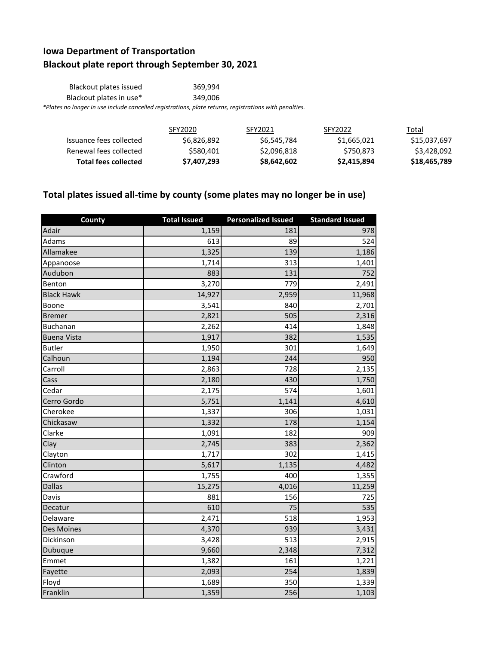## **Iowa Department of Transportation Blackout plate report through September 30, 2021**

| Blackout plates issued                                                                                 | 369.994 |
|--------------------------------------------------------------------------------------------------------|---------|
| Blackout plates in use*                                                                                | 349.006 |
| *Plates no longer in use include cancelled registrations, plate returns, registrations with penalties. |         |

|                             | SFY2020     | SFY2021     | SFY2022     | Total        |
|-----------------------------|-------------|-------------|-------------|--------------|
| Issuance fees collected     | \$6,826,892 | \$6,545,784 | \$1,665,021 | \$15,037,697 |
| Renewal fees collected      | \$580.401   | \$2,096,818 | \$750.873   | \$3,428,092  |
| <b>Total fees collected</b> | \$7,407,293 | \$8,642,602 | \$2,415,894 | \$18,465,789 |

## **Total plates issued all-time by county (some plates may no longer be in use)**

| County             | <b>Total Issued</b> | <b>Personalized Issued</b> | <b>Standard Issued</b> |
|--------------------|---------------------|----------------------------|------------------------|
| Adair              | 1,159               | 181                        | 978                    |
| Adams              | 613                 | 89                         | 524                    |
| Allamakee          | 1,325               | 139                        | 1,186                  |
| Appanoose          | 1,714               | 313                        | 1,401                  |
| Audubon            | 883                 | 131                        | 752                    |
| Benton             | 3,270               | 779                        | 2,491                  |
| <b>Black Hawk</b>  | 14,927              | 2,959                      | 11,968                 |
| Boone              | 3,541               | 840                        | 2,701                  |
| <b>Bremer</b>      | 2,821               | 505                        | 2,316                  |
| Buchanan           | 2,262               | 414                        | 1,848                  |
| <b>Buena Vista</b> | 1,917               | 382                        | 1,535                  |
| <b>Butler</b>      | 1,950               | 301                        | 1,649                  |
| Calhoun            | 1,194               | 244                        | 950                    |
| Carroll            | 2,863               | 728                        | 2,135                  |
| Cass               | 2,180               | 430                        | 1,750                  |
| Cedar              | 2,175               | 574                        | 1,601                  |
| Cerro Gordo        | 5,751               | 1,141                      | 4,610                  |
| Cherokee           | 1,337               | 306                        | 1,031                  |
| Chickasaw          | 1,332               | 178                        | 1,154                  |
| Clarke             | 1,091               | 182                        | 909                    |
| Clay               | 2,745               | 383                        | 2,362                  |
| Clayton            | 1,717               | 302                        | 1,415                  |
| Clinton            | 5,617               | 1,135                      | 4,482                  |
| Crawford           | 1,755               | 400                        | 1,355                  |
| <b>Dallas</b>      | 15,275              | 4,016                      | 11,259                 |
| Davis              | 881                 | 156                        | 725                    |
| Decatur            | 610                 | 75                         | 535                    |
| Delaware           | 2,471               | 518                        | 1,953                  |
| Des Moines         | 4,370               | 939                        | 3,431                  |
| Dickinson          | 3,428               | 513                        | 2,915                  |
| Dubuque            | 9,660               | 2,348                      | 7,312                  |
| Emmet              | 1,382               | 161                        | 1,221                  |
| Fayette            | 2,093               | 254                        | 1,839                  |
| Floyd              | 1,689               | 350                        | 1,339                  |
| Franklin           | 1,359               | 256                        | 1,103                  |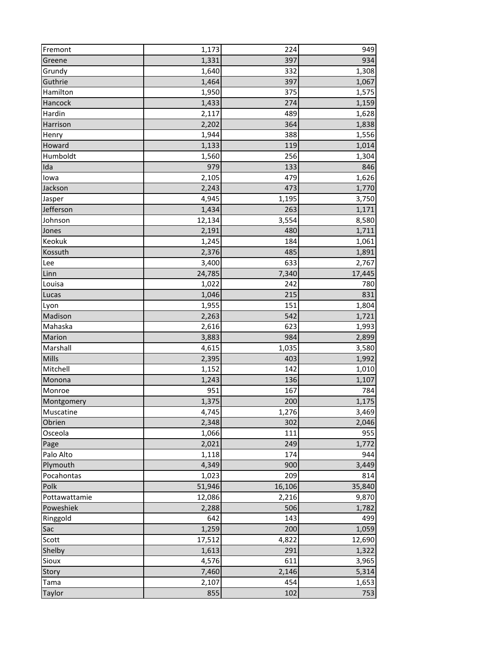| Fremont       | 1,173  | 224    | 949    |
|---------------|--------|--------|--------|
| Greene        | 1,331  | 397    | 934    |
| Grundy        | 1,640  | 332    | 1,308  |
| Guthrie       | 1,464  | 397    | 1,067  |
| Hamilton      | 1,950  | 375    | 1,575  |
| Hancock       | 1,433  | 274    | 1,159  |
| Hardin        | 2,117  | 489    | 1,628  |
| Harrison      | 2,202  | 364    | 1,838  |
| Henry         | 1,944  | 388    | 1,556  |
| Howard        | 1,133  | 119    | 1,014  |
| Humboldt      | 1,560  | 256    | 1,304  |
| Ida           | 979    | 133    | 846    |
| lowa          | 2,105  | 479    | 1,626  |
| Jackson       | 2,243  | 473    | 1,770  |
| Jasper        | 4,945  | 1,195  | 3,750  |
| Jefferson     | 1,434  | 263    | 1,171  |
| Johnson       | 12,134 | 3,554  | 8,580  |
| Jones         | 2,191  | 480    | 1,711  |
| Keokuk        | 1,245  | 184    | 1,061  |
| Kossuth       | 2,376  | 485    | 1,891  |
| Lee           | 3,400  | 633    | 2,767  |
| Linn          | 24,785 | 7,340  | 17,445 |
| Louisa        | 1,022  | 242    | 780    |
| Lucas         | 1,046  | 215    | 831    |
| Lyon          | 1,955  | 151    | 1,804  |
| Madison       | 2,263  | 542    | 1,721  |
| Mahaska       | 2,616  | 623    | 1,993  |
| Marion        | 3,883  | 984    | 2,899  |
| Marshall      | 4,615  | 1,035  | 3,580  |
| Mills         | 2,395  | 403    | 1,992  |
| Mitchell      | 1,152  | 142    | 1,010  |
| Monona        | 1,243  | 136    | 1,107  |
| Monroe        | 951    | 167    | 784    |
| Montgomery    | 1,375  | 200    | 1,175  |
| Muscatine     | 4,745  | 1,276  | 3,469  |
| Obrien        | 2,348  | 302    | 2,046  |
| Osceola       | 1,066  | 111    | 955    |
| Page          | 2,021  | 249    | 1,772  |
| Palo Alto     | 1,118  | 174    | 944    |
| Plymouth      | 4,349  | 900    | 3,449  |
| Pocahontas    | 1,023  | 209    | 814    |
| Polk          | 51,946 | 16,106 | 35,840 |
| Pottawattamie | 12,086 | 2,216  | 9,870  |
| Poweshiek     | 2,288  | 506    | 1,782  |
| Ringgold      | 642    | 143    | 499    |
| Sac           | 1,259  | 200    | 1,059  |
| Scott         | 17,512 | 4,822  | 12,690 |
| Shelby        | 1,613  | 291    | 1,322  |
| Sioux         | 4,576  | 611    | 3,965  |
| Story         | 7,460  | 2,146  | 5,314  |
| Tama          | 2,107  | 454    | 1,653  |
| Taylor        | 855    | 102    | 753    |